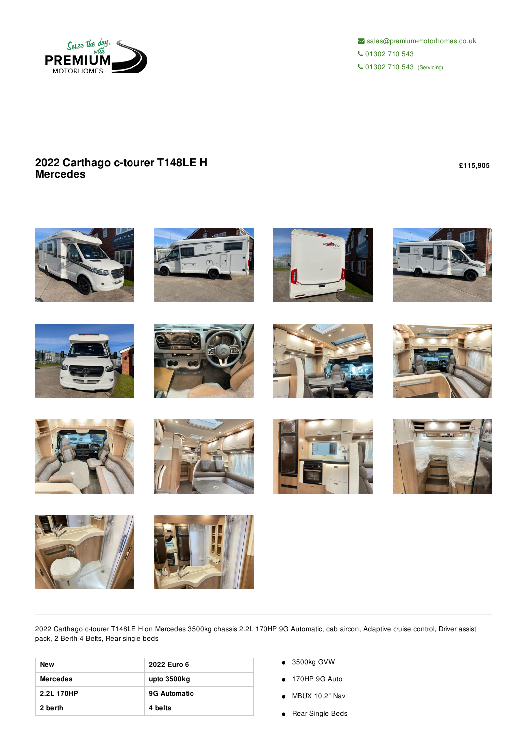

 $\triangleright$  sales@premium-motorhomes.co.uk 01302 710 543 01302 710 543 (Servicing)

## **2022 Carthago c-tourer T148LE H Mercedes**

**£115,905**



2022 Carthago c-tourer T148LE H on Mercedes 3500kg chassis 2.2L 170HP 9G Automatic, cab aircon, Adaptive cruise control, Driver assist pack, 2 Berth 4 Belts, Rear single beds

| New             | 2022 Euro 6         |
|-----------------|---------------------|
| <b>Mercedes</b> | upto 3500kg         |
| 2.2L 170HP      | <b>9G Automatic</b> |
| 2 berth         | 4 belts             |

- 3500kg GVW
- 170HP 9G Auto
- MBUX 10.2" Nav
- Rear Single Beds